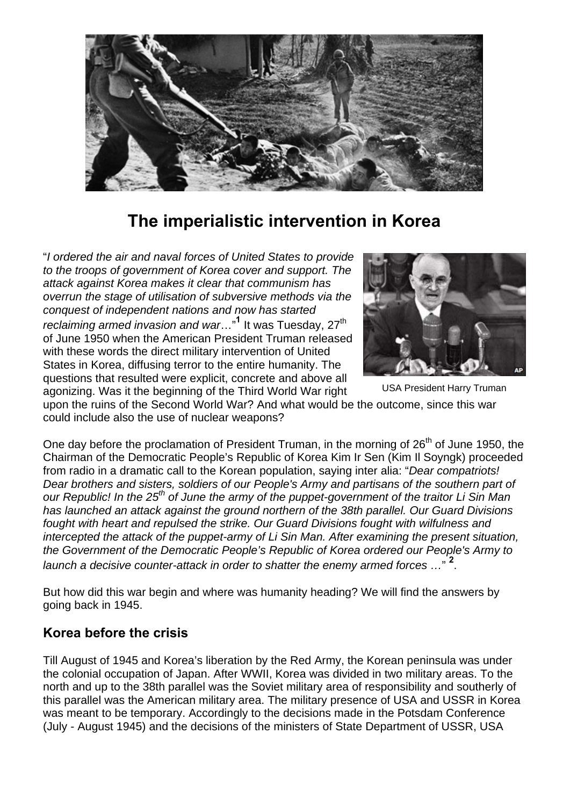

# **The imperialistic intervention in Korea**

"*I ordered the air and naval forces of United States to provide to the troops of government of Korea cover and support. The attack against Korea makes it clear that communism has overrun the stage of utilisation of subversive methods via the conquest of independent nations and now has started reclaiming armed invasion and war...*<sup>1</sup> It was Tuesday, 27<sup>th</sup> of June 1950 when the American President Truman released with these words the direct military intervention of United States in Korea, diffusing terror to the entire humanity. The questions that resulted were explicit, concrete and above all agonizing. Was it the beginning of the Third World War right



USA President Harry Truman

upon the ruins of the Second World War? And what would be the outcome, since this war could include also the use of nuclear weapons?

One day before the proclamation of President Truman, in the morning of 26<sup>th</sup> of June 1950, the Chairman of the Democratic People's Republic of Korea Kim Ir Sen (Kim Il Soyngk) proceeded from radio in a dramatic call to the Korean population, saying inter alia: "*Dear compatriots! Dear brothers and sisters, soldiers of our People's Army and partisans of the southern part of our Republic! In the 25th of June the army of the puppet-government of the traitor Li Sin Man has launched an attack against the ground northern of the 38th parallel. Our Guard Divisions fought with heart and repulsed the strike. Our Guard Divisions fought with wilfulness and intercepted the attack of the puppet-army of Li Sin Man. After examining the present situation, the Government of the Democratic People's Republic of Korea ordered our People's Army to*  launch a decisive counter-attack in order to shatter the enemy armed forces ..."<sup>2</sup>.

But how did this war begin and where was humanity heading? We will find the answers by going back in 1945.

### **Korea before the crisis**

Till August of 1945 and Korea's liberation by the Red Army, the Korean peninsula was under the colonial occupation of Japan. After WWII, Korea was divided in two military areas. To the north and up to the 38th parallel was the Soviet military area of responsibility and southerly of this parallel was the American military area. The military presence of USA and USSR in Korea was meant to be temporary. Accordingly to the decisions made in the Potsdam Conference (July - August 1945) and the decisions of the ministers of State Department of USSR, USA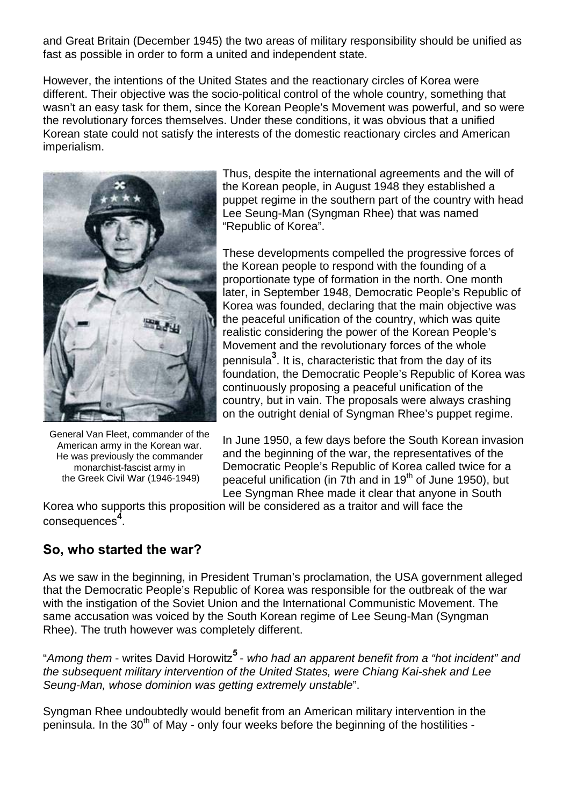and Great Britain (December 1945) the two areas of military responsibility should be unified as fast as possible in order to form a united and independent state.

However, the intentions of the United States and the reactionary circles of Korea were different. Their objective was the socio-political control of the whole country, something that wasn't an easy task for them, since the Korean People's Movement was powerful, and so were the revolutionary forces themselves. Under these conditions, it was obvious that a unified Korean state could not satisfy the interests of the domestic reactionary circles and American imperialism.



General Van Fleet, commander of the American army in the Korean war. He was previously the commander monarchist-fascist army in the Greek Civil War (1946-1949)

Thus, despite the international agreements and the will of the Korean people, in August 1948 they established a puppet regime in the southern part of the country with head Lee Seung-Man (Syngman Rhee) that was named "Republic of Korea".

These developments compelled the progressive forces of the Korean people to respond with the founding of a proportionate type of formation in the north. One month later, in September 1948, Democratic People's Republic of Korea was founded, declaring that the main objective was the peaceful unification of the country, which was quite realistic considering the power of the Korean People's Movement and the revolutionary forces of the whole pennisula**<sup>3</sup>** . It is, characteristic that from the day of its foundation, the Democratic People's Republic of Korea was continuously proposing a peaceful unification of the country, but in vain. The proposals were always crashing on the outright denial of Syngman Rhee's puppet regime.

In June 1950, a few days before the South Korean invasion and the beginning of the war, the representatives of the Democratic People's Republic of Korea called twice for a peaceful unification (in 7th and in 19<sup>th</sup> of June 1950), but Lee Syngman Rhee made it clear that anyone in South

Korea who supports this proposition will be considered as a traitor and will face the consequences **4** .

### **So, who started the war?**

As we saw in the beginning, in President Truman's proclamation, the USA government alleged that the Democratic People's Republic of Korea was responsible for the outbreak of the war with the instigation of the Soviet Union and the International Communistic Movement. The same accusation was voiced by the South Korean regime of Lee Seung-Man (Syngman Rhee). The truth however was completely different.

"*Among them* - writes David Horowitz**5** - *who had an apparent benefit from a "hot incident" and the subsequent military intervention of the United States, were Chiang Kai-shek and Lee Seung-Man, whose dominion was getting extremely unstable*".

Syngman Rhee undoubtedly would benefit from an American military intervention in the peninsula. In the  $30<sup>th</sup>$  of May - only four weeks before the beginning of the hostilities -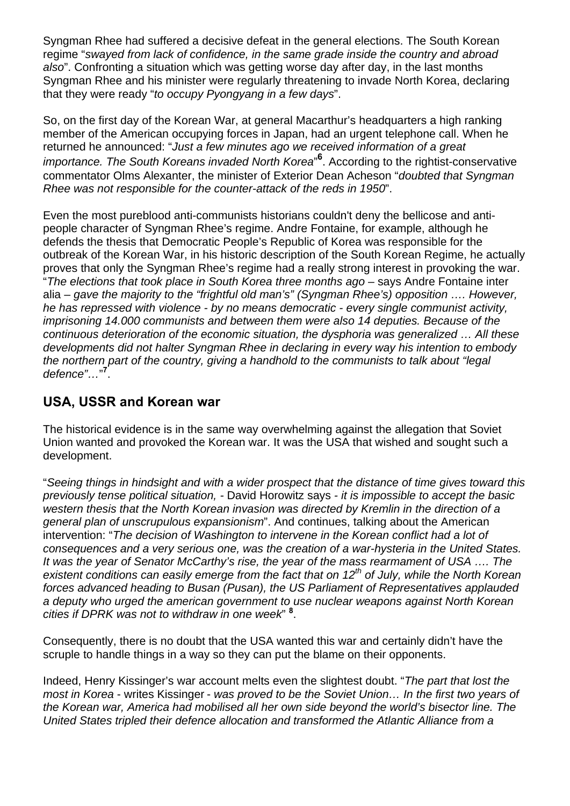Syngman Rhee had suffered a decisive defeat in the general elections. The South Korean regime "*swayed from lack of confidence, in the same grade inside the country and abroad also*". Confronting a situation which was getting worse day after day, in the last months Syngman Rhee and his minister were regularly threatening to invade North Korea, declaring that they were ready "*to occupy Pyongyang in a few days*".

So, on the first day of the Korean War, at general Macarthur's headquarters a high ranking member of the American occupying forces in Japan, had an urgent telephone call. When he returned he announced: "*Just a few minutes ago we received information of a great*  importance. The South Koreans invaded North Korea<sup>"6</sup>. According to the rightist-conservative commentator Olms Alexanter, the minister of Exterior Dean Acheson "*doubted that Syngman Rhee was not responsible for the counter-attack of the reds in 1950*".

Even the most pureblood anti-communists historians couldn't deny the bellicose and antipeople character of Syngman Rhee's regime. Andre Fontaine, for example, although he defends the thesis that Democratic People's Republic of Korea was responsible for the outbreak of the Korean War, in his historic description of the South Korean Regime, he actually proves that only the Syngman Rhee's regime had a really strong interest in provoking the war. "*The elections that took place in South Korea three months ago* – says Andre Fontaine inter alia – *gave the majority to the "frightful old man's" (Syngman Rhee's) opposition …. However, he has repressed with violence - by no means democratic - every single communist activity, imprisoning 14.000 communists and between them were also 14 deputies. Because of the continuous deterioration of the economic situation, the dysphoria was generalized … All these developments did not halter Syngman Rhee in declaring in every way his intention to embody the northern part of the country, giving a handhold to the communists to talk about "legal defence"…*" **7** .

# **USA, USSR and Korean war**

The historical evidence is in the same way overwhelming against the allegation that Soviet Union wanted and provoked the Korean war. It was the USA that wished and sought such a development.

"*Seeing things in hindsight and with a wider prospect that the distance of time gives toward this previously tense political situation, -* David Horowitz says *- it is impossible to accept the basic western thesis that the North Korean invasion was directed by Kremlin in the direction of a general plan of unscrupulous expansionism*". And continues, talking about the American intervention: "*The decision of Washington to intervene in the Korean conflict had a lot of consequences and a very serious one, was the creation of a war-hysteria in the United States. It was the year of Senator McCarthy's rise, the year of the mass rearmament of USA …. The existent conditions can easily emerge from the fact that on 12th of July, while the North Korean forces advanced heading to Busan (Pusan), the US Parliament of Representatives applauded a deputy who urged the american government to use nuclear weapons against North Korean cities if DPRK was not to withdraw in one week*" **<sup>8</sup>** .

Consequently, there is no doubt that the USA wanted this war and certainly didn't have the scruple to handle things in a way so they can put the blame on their opponents.

Indeed, Henry Kissinger's war account melts even the slightest doubt. "*The part that lost the most in Korea* - writes Kissinger - *was proved to be the Soviet Union… In the first two years of the Korean war, America had mobilised all her own side beyond the world's bisector line. The United States tripled their defence allocation and transformed the Atlantic Alliance from a*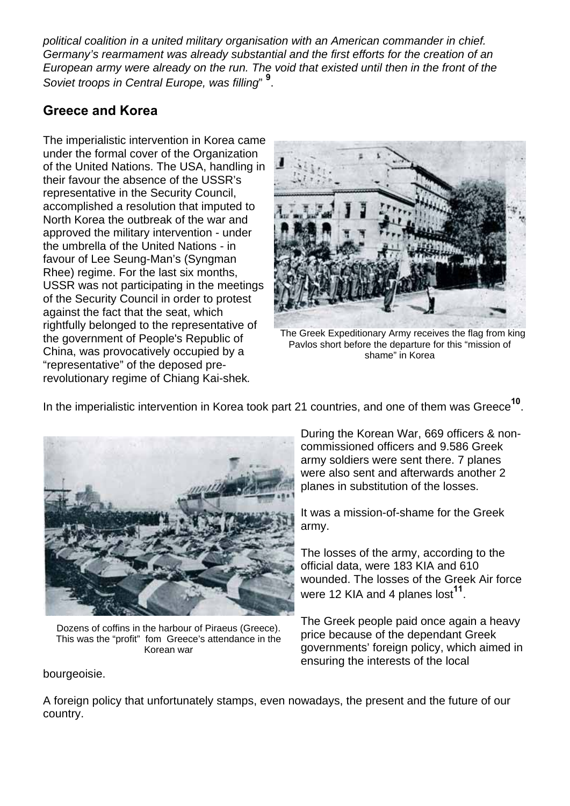*political coalition in a united military organisation with an American commander in chief. Germany's rearmament was already substantial and the first efforts for the creation of an European army were already on the run. The void that existed until then in the front of the Soviet troops in Central Europe, was filling*" **<sup>9</sup>** .

# **Greece and Korea**

The imperialistic intervention in Korea came under the formal cover of the Organization of the United Nations. The USA, handling in their favour the absence of the USSR's representative in the Security Council, accomplished a resolution that imputed to North Korea the outbreak of the war and approved the military intervention - under the umbrella of the United Nations - in favour of Lee Seung-Man's (Syngman Rhee) regime. For the last six months, USSR was not participating in the meetings of the Security Council in order to protest against the fact that the seat, which rightfully belonged to the representative of the government of People's Republic of China, was provocatively occupied by a "representative" of the deposed prerevolutionary regime of Chiang Kai-shek*.*



The Greek Expeditionary Army receives the flag from king Pavlos short before the departure for this "mission of shame" in Korea

In the imperialistic intervention in Korea took part 21 countries, and one of them was Greece**10**.



Dozens of coffins in the harbour of Piraeus (Greece). This was the "profit" fom Greece's attendance in the Korean war

bourgeoisie.

During the Korean War, 669 officers & noncommissioned officers and 9.586 Greek army soldiers were sent there. 7 planes were also sent and afterwards another 2 planes in substitution of the losses.

It was a mission-of-shame for the Greek army.

The losses of the army, according to the official data, were 183 KIA and 610 wounded. The losses of the Greek Air force were 12 KIA and 4 planes lost**11**.

The Greek people paid once again a heavy price because of the dependant Greek governments' foreign policy, which aimed in ensuring the interests of the local

A foreign policy that unfortunately stamps, even nowadays, the present and the future of our country.